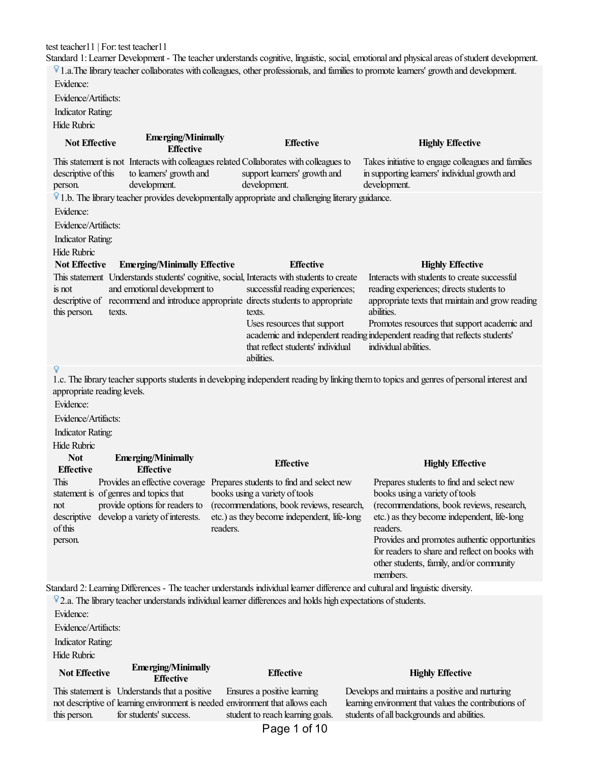test teacher11 | For: test teacher11

Standard 1: Learner Development - The teacher understands cognitive, linguistic, social, emotional and physical areas of student development. <sup>1</sup> 1.a. The library teacher collaborates with colleagues, other professionals, and families to promote learners' growth and development.

Evidence:

Evidence/Artifacts:

Indicator Rating:

 $H:1, H:1...$ 

| Hide Rubric                              |                                                                   |                                                                                                                                                                                                                                                             |                                                                                                                                                            |
|------------------------------------------|-------------------------------------------------------------------|-------------------------------------------------------------------------------------------------------------------------------------------------------------------------------------------------------------------------------------------------------------|------------------------------------------------------------------------------------------------------------------------------------------------------------|
| <b>Not Effective</b>                     | <b>Emerging/Minimally</b><br><b>Effective</b>                     | <b>Effective</b>                                                                                                                                                                                                                                            | <b>Highly Effective</b>                                                                                                                                    |
| descriptive of this<br>person.           | to learners' growth and<br>development.                           | This statement is not Interacts with colleagues related Collaborates with colleagues to<br>support learners' growth and<br>development.                                                                                                                     | Takes initiative to engage colleagues and families<br>in supporting learners' individual growth and<br>development.                                        |
|                                          |                                                                   | $\nabla$ 1.b. The library teacher provides developmentally appropriate and challenging literary guidance.                                                                                                                                                   |                                                                                                                                                            |
| Evidence:                                |                                                                   |                                                                                                                                                                                                                                                             |                                                                                                                                                            |
| Evidence/Artifacts:                      |                                                                   |                                                                                                                                                                                                                                                             |                                                                                                                                                            |
| <b>Indicator Rating:</b>                 |                                                                   |                                                                                                                                                                                                                                                             |                                                                                                                                                            |
| <b>Hide Rubric</b>                       |                                                                   |                                                                                                                                                                                                                                                             |                                                                                                                                                            |
| <b>Not Effective</b>                     | <b>Emerging/Minimally Effective</b>                               | <b>Effective</b>                                                                                                                                                                                                                                            | <b>Highly Effective</b><br>Interacts with students to create successful                                                                                    |
| is not<br>this person.                   | and emotional development to<br>texts.                            | This statement Understands students' cognitive, social, Interacts with students to create<br>successful reading experiences;<br>descriptive of recommend and introduce appropriate directs students to appropriate<br>texts.<br>Uses resources that support | reading experiences; directs students to<br>appropriate texts that maintain and grow reading<br>abilities.<br>Promotes resources that support academic and |
|                                          |                                                                   | that reflect students' individual<br>abilities.                                                                                                                                                                                                             | academic and independent reading independent reading that reflects students'<br>individual abilities.                                                      |
| appropriate reading levels.<br>Evidence: |                                                                   |                                                                                                                                                                                                                                                             | 1.c. The library teacher supports students in developing independent reading by linking them to topics and genres of personal interest and                 |
| Evidence/Artifacts:                      |                                                                   |                                                                                                                                                                                                                                                             |                                                                                                                                                            |
| <b>Indicator Rating:</b>                 |                                                                   |                                                                                                                                                                                                                                                             |                                                                                                                                                            |
| <b>Hide Rubric</b><br><b>Not</b>         | <b>Emerging/Minimally</b>                                         |                                                                                                                                                                                                                                                             |                                                                                                                                                            |
| <b>Effective</b>                         | <b>Effective</b>                                                  | <b>Effective</b>                                                                                                                                                                                                                                            | <b>Highly Effective</b>                                                                                                                                    |
| This                                     | Provides an effective coverage                                    | Prepares students to find and select new                                                                                                                                                                                                                    | Prepares students to find and select new                                                                                                                   |
|                                          | statement is of genres and topics that                            | books using a variety of tools                                                                                                                                                                                                                              | books using a variety of tools                                                                                                                             |
| not<br>descriptive                       | provide options for readers to<br>develop a variety of interests. | (recommendations, book reviews, research,<br>etc.) as they become independent, life-long                                                                                                                                                                    | (recommendations, book reviews, research,<br>etc.) as they become independent, life-long                                                                   |
| of this                                  |                                                                   | readers.                                                                                                                                                                                                                                                    | readers.                                                                                                                                                   |
| person.                                  |                                                                   |                                                                                                                                                                                                                                                             | Provides and promotes authentic opportunities                                                                                                              |
|                                          |                                                                   |                                                                                                                                                                                                                                                             | for readers to share and reflect on books with                                                                                                             |
|                                          |                                                                   |                                                                                                                                                                                                                                                             | other students, family, and/or community<br>members.                                                                                                       |
|                                          |                                                                   | Standard 2: Learning Differences - The teacher understands individual learner difference and cultural and linguistic diversity.                                                                                                                             |                                                                                                                                                            |
|                                          |                                                                   | $\sqrt{2}$ .a. The library teacher understands individual learner differences and holds high expectations of students.                                                                                                                                      |                                                                                                                                                            |
| Evidence:                                |                                                                   |                                                                                                                                                                                                                                                             |                                                                                                                                                            |
| Evidence/Artifacts:                      |                                                                   |                                                                                                                                                                                                                                                             |                                                                                                                                                            |
| <b>Indicator Rating:</b>                 |                                                                   |                                                                                                                                                                                                                                                             |                                                                                                                                                            |
| Hide Rubric                              |                                                                   |                                                                                                                                                                                                                                                             |                                                                                                                                                            |
| <b>Not Effective</b>                     | <b>Emerging/Minimally</b><br><b>Effective</b>                     | <b>Effective</b>                                                                                                                                                                                                                                            | <b>Highly Effective</b>                                                                                                                                    |
|                                          |                                                                   |                                                                                                                                                                                                                                                             |                                                                                                                                                            |
|                                          | This statement is Understands that a positive                     | Ensures a positive learning                                                                                                                                                                                                                                 | Develops and maintains a positive and nurturing                                                                                                            |
| this person.                             | for students' success.                                            | not descriptive of learning environment is needed environment that allows each<br>student to reach learning goals.                                                                                                                                          | learning environment that values the contributions of<br>students of all backgrounds and abilities.                                                        |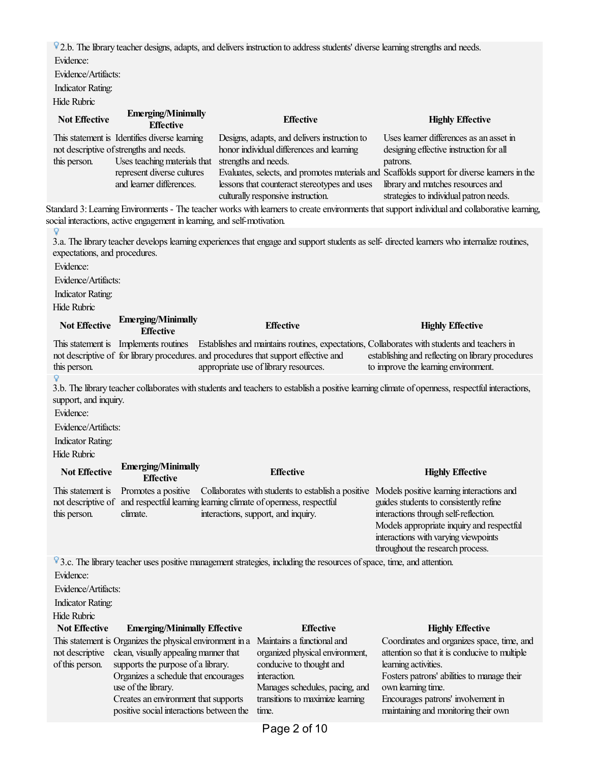7.b. The library teacher designs, adapts, and delivers instruction to address students' diverse learning strengths and needs. Evidence:

Evidence/Artifacts:

Indicator Rating:

| Hide Rubric                                                                                                         |                                                                                                                                                                                                                                                                                                                                    |                                                                                                                                                                                                                                                   |                                                                                                                                                                                                                                                                                                                                                                                                                                 |
|---------------------------------------------------------------------------------------------------------------------|------------------------------------------------------------------------------------------------------------------------------------------------------------------------------------------------------------------------------------------------------------------------------------------------------------------------------------|---------------------------------------------------------------------------------------------------------------------------------------------------------------------------------------------------------------------------------------------------|---------------------------------------------------------------------------------------------------------------------------------------------------------------------------------------------------------------------------------------------------------------------------------------------------------------------------------------------------------------------------------------------------------------------------------|
| <b>Not Effective</b>                                                                                                | <b>Emerging/Minimally</b><br><b>Effective</b>                                                                                                                                                                                                                                                                                      | <b>Effective</b>                                                                                                                                                                                                                                  | <b>Highly Effective</b>                                                                                                                                                                                                                                                                                                                                                                                                         |
| this person.                                                                                                        | This statement is Identifies diverse learning<br>not descriptive of strengths and needs.<br>Uses teaching materials that<br>represent diverse cultures<br>and learner differences.                                                                                                                                                 | Designs, adapts, and delivers instruction to<br>honor individual differences and learning<br>strengths and needs.<br>lessons that counteract stereotypes and uses<br>culturally responsive instruction.                                           | Uses learner differences as an asset in<br>designing effective instruction for all<br>patrons.<br>Evaluates, selects, and promotes materials and Scaffolds support for diverse learners in the<br>library and matches resources and<br>strategies to individual patron needs.<br>Standard 3: Learning Environments - The teacher works with learners to create environments that support individual and collaborative learning, |
|                                                                                                                     | social interactions, active engagement in learning, and self-motivation.                                                                                                                                                                                                                                                           |                                                                                                                                                                                                                                                   |                                                                                                                                                                                                                                                                                                                                                                                                                                 |
| expectations, and procedures.<br>Evidence:<br>Evidence/Artifacts:<br><b>Indicator Rating:</b><br><b>Hide Rubric</b> |                                                                                                                                                                                                                                                                                                                                    | 3.a. The library teacher develops learning experiences that engage and support students as self- directed learners who internalize routines,                                                                                                      |                                                                                                                                                                                                                                                                                                                                                                                                                                 |
| <b>Not Effective</b>                                                                                                | <b>Emerging/Minimally</b><br><b>Effective</b>                                                                                                                                                                                                                                                                                      | <b>Effective</b>                                                                                                                                                                                                                                  | <b>Highly Effective</b>                                                                                                                                                                                                                                                                                                                                                                                                         |
| This statement is<br>this person.<br>Q                                                                              |                                                                                                                                                                                                                                                                                                                                    | Implements routines Establishes and maintains routines, expectations, Collaborates with students and teachers in<br>not descriptive of for library procedures. and procedures that support effective and<br>appropriate use of library resources. | establishing and reflecting on library procedures<br>to improve the learning environment.                                                                                                                                                                                                                                                                                                                                       |
| support, and inquiry.<br>Evidence:<br>Evidence/Artifacts:<br><b>Indicator Rating:</b><br>Hide Rubric                |                                                                                                                                                                                                                                                                                                                                    |                                                                                                                                                                                                                                                   | 3.b. The library teacher collaborates with students and teachers to establish a positive learning climate of openness, respectful interactions,                                                                                                                                                                                                                                                                                 |
| <b>Not Effective</b>                                                                                                | <b>Emerging/Minimally</b><br><b>Effective</b>                                                                                                                                                                                                                                                                                      | <b>Effective</b>                                                                                                                                                                                                                                  | <b>Highly Effective</b>                                                                                                                                                                                                                                                                                                                                                                                                         |
| This statement is<br>not descriptive of<br>this person.                                                             | Promotes a positive<br>climate.                                                                                                                                                                                                                                                                                                    | Collaborates with students to establish a positive<br>and respectful learning learning climate of openness, respectful<br>interactions, support, and inquiry.                                                                                     | Models positive learning interactions and<br>guides students to consistently refine<br>interactions through self-reflection.<br>Models appropriate inquiry and respectful<br>interactions with varying viewpoints<br>throughout the research process.                                                                                                                                                                           |
| Evidence:<br>Evidence/Artifacts:<br><b>Indicator Rating:</b>                                                        |                                                                                                                                                                                                                                                                                                                                    | V3.c. The library teacher uses positive management strategies, including the resources of space, time, and attention.                                                                                                                             |                                                                                                                                                                                                                                                                                                                                                                                                                                 |
| Hide Rubric<br><b>Not Effective</b>                                                                                 |                                                                                                                                                                                                                                                                                                                                    | <b>Effective</b>                                                                                                                                                                                                                                  | <b>Highly Effective</b>                                                                                                                                                                                                                                                                                                                                                                                                         |
| not descriptive<br>of this person.                                                                                  | <b>Emerging/Minimally Effective</b><br>This statement is Organizes the physical environment in a<br>clean, visually appealing manner that<br>supports the purpose of a library.<br>Organizes a schedule that encourages<br>use of the library.<br>Creates an environment that supports<br>positive social interactions between the | Maintains a functional and<br>organized physical environment,<br>conducive to thought and<br>interaction.<br>Manages schedules, pacing, and<br>transitions to maximize learning<br>time.                                                          | Coordinates and organizes space, time, and<br>attention so that it is conducive to multiple<br>learning activities.<br>Fosters patrons' abilities to manage their<br>own learning time.<br>Encourages patrons' involvement in<br>maintaining and monitoring their own                                                                                                                                                           |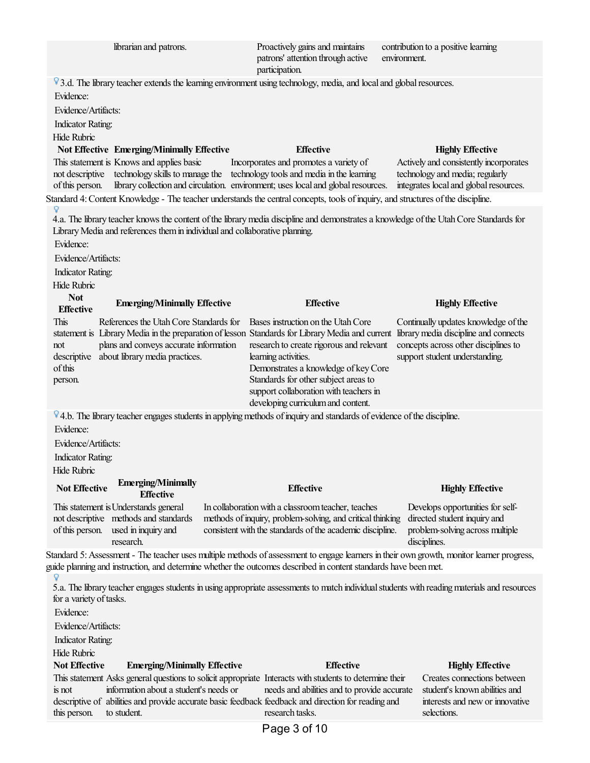| librarian and patrons.                                                                                                                                                                                                                                                                                             | Proactively gains and maintains<br>patrons' attention through active<br>participation.                                                                                                                                                                                 | contribution to a positive learning<br>environment.                                                                                                     |
|--------------------------------------------------------------------------------------------------------------------------------------------------------------------------------------------------------------------------------------------------------------------------------------------------------------------|------------------------------------------------------------------------------------------------------------------------------------------------------------------------------------------------------------------------------------------------------------------------|---------------------------------------------------------------------------------------------------------------------------------------------------------|
| V3.d. The library teacher extends the learning environment using technology, media, and local and global resources.<br>Evidence:<br>Evidence/Artifacts:                                                                                                                                                            |                                                                                                                                                                                                                                                                        |                                                                                                                                                         |
| <b>Indicator Rating:</b>                                                                                                                                                                                                                                                                                           |                                                                                                                                                                                                                                                                        |                                                                                                                                                         |
| <b>Hide Rubric</b><br><b>Not Effective Emerging/Minimally Effective</b>                                                                                                                                                                                                                                            | <b>Effective</b>                                                                                                                                                                                                                                                       | <b>Highly Effective</b>                                                                                                                                 |
| This statement is Knows and applies basic<br>technology skills to manage the<br>not descriptive<br>of this person.                                                                                                                                                                                                 | Incorporates and promotes a variety of<br>technology tools and media in the learning<br>library collection and circulation. environment; uses local and global resources.                                                                                              | Actively and consistently incorporates<br>technology and media; regularly<br>integrates local and global resources.                                     |
| Standard 4: Content Knowledge - The teacher understands the central concepts, tools of inquiry, and structures of the discipline.                                                                                                                                                                                  |                                                                                                                                                                                                                                                                        |                                                                                                                                                         |
| 4.a. The library teacher knows the content of the library media discipline and demonstrates a knowledge of the Utah Core Standards for<br>Library Media and references them in individual and collaborative planning.<br>Evidence:<br>Evidence/Artifacts:<br><b>Indicator Rating:</b><br>Hide Rubric<br><b>Not</b> |                                                                                                                                                                                                                                                                        |                                                                                                                                                         |
| <b>Emerging/Minimally Effective</b><br><b>Effective</b>                                                                                                                                                                                                                                                            | <b>Effective</b>                                                                                                                                                                                                                                                       | <b>Highly Effective</b>                                                                                                                                 |
| This<br>References the Utah Core Standards for<br>statement is Library Media in the preparation of lesson Standards for Library Media and current<br>plans and conveys accurate information<br>not<br>about library media practices.<br>descriptive<br>of this<br>person.                                          | Bases instruction on the Utah Core<br>research to create rigorous and relevant<br>learning activities.<br>Demonstrates a knowledge of key Core<br>Standards for other subject areas to<br>support collaboration with teachers in<br>developing curriculum and content. | Continually updates knowledge of the<br>library media discipline and connects<br>concepts across other disciplines to<br>support student understanding. |
| V4.b. The library teacher engages students in applying methods of inquiry and standards of evidence of the discipline.                                                                                                                                                                                             |                                                                                                                                                                                                                                                                        |                                                                                                                                                         |
| Evidence:                                                                                                                                                                                                                                                                                                          |                                                                                                                                                                                                                                                                        |                                                                                                                                                         |
| Evidence/Artifacts:                                                                                                                                                                                                                                                                                                |                                                                                                                                                                                                                                                                        |                                                                                                                                                         |
| <b>Indicator Rating:</b>                                                                                                                                                                                                                                                                                           |                                                                                                                                                                                                                                                                        |                                                                                                                                                         |
| Hide Rubric<br><b>Emerging/Minimally</b>                                                                                                                                                                                                                                                                           |                                                                                                                                                                                                                                                                        |                                                                                                                                                         |
| <b>Not Effective</b><br><b>Effective</b>                                                                                                                                                                                                                                                                           | <b>Effective</b>                                                                                                                                                                                                                                                       | <b>Highly Effective</b>                                                                                                                                 |
| This statement is Understands general<br>not descriptive methods and standards<br>of this person.<br>used in inquiry and<br>research.                                                                                                                                                                              | In collaboration with a classroom teacher, teaches<br>methods of inquiry, problem-solving, and critical thinking<br>consistent with the standards of the academic discipline.                                                                                          | Develops opportunities for self-<br>directed student inquiry and<br>problem-solving across multiple<br>disciplines.                                     |
| Standard 5: Assessment - The teacher uses multiple methods of assessment to engage learners in their own growth, monitor learner progress,<br>guide planning and instruction, and determine whether the outcomes described in content standards have been met.                                                     |                                                                                                                                                                                                                                                                        |                                                                                                                                                         |
| 5.a. The library teacher engages students in using appropriate assessments to match individual students with reading materials and resources<br>for a variety of tasks.<br>Evidence:<br>Evidence/Artifacts:<br><b>Indicator Rating:</b><br><b>Hide Rubric</b><br><b>Not Effective</b>                              | <b>Effective</b>                                                                                                                                                                                                                                                       |                                                                                                                                                         |
| <b>Emerging/Minimally Effective</b><br>This statement Asks general questions to solicit appropriate Interacts with students to determine their                                                                                                                                                                     |                                                                                                                                                                                                                                                                        | <b>Highly Effective</b><br>Creates connections between                                                                                                  |
| information about a student's needs or<br>is not<br>descriptive of abilities and provide accurate basic feedback feedback and direction for reading and<br>this person.<br>to student.                                                                                                                             | needs and abilities and to provide accurate<br>research tasks.                                                                                                                                                                                                         | student's known abilities and<br>interests and new or innovative<br>selections.                                                                         |
|                                                                                                                                                                                                                                                                                                                    | Page 3 of 10                                                                                                                                                                                                                                                           |                                                                                                                                                         |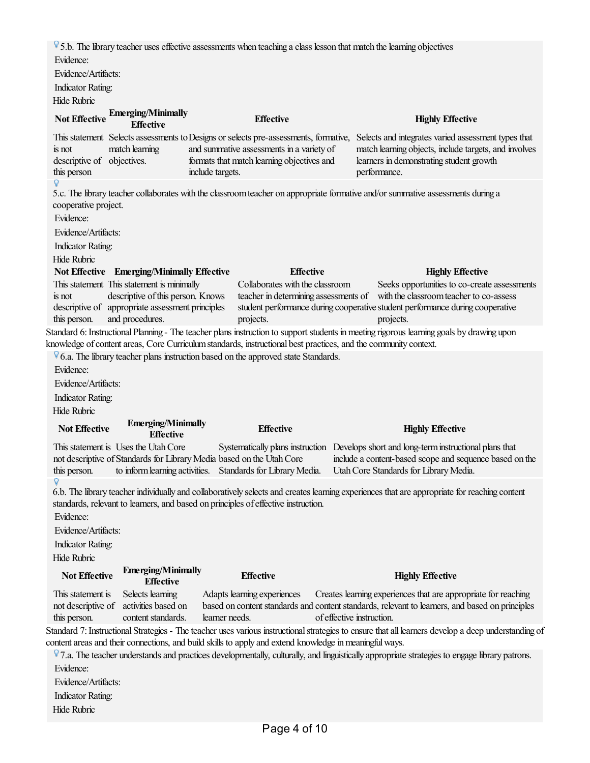$\sqrt[6]{}$  5.b. The library teacher uses effective assessments when teaching a class lesson that match the learning objectives Evidence:

Evidence/Artifacts:

Indicator Rating:

Hide Rubric

| TINN INWIN                 |                                                      |                                            |                                                                                                                                          |
|----------------------------|------------------------------------------------------|--------------------------------------------|------------------------------------------------------------------------------------------------------------------------------------------|
|                            | Not Effective Emerging/Minimally<br><b>Effective</b> | <b>Effective</b>                           | <b>Highly Effective</b>                                                                                                                  |
|                            |                                                      |                                            | This statement Selects assessments to Designs or selects pre-assessments, formative, Selects and integrates varied assessment types that |
| is not                     | match learning                                       | and summative assessments in a variety of  | match learning objects, include targets, and involves                                                                                    |
| descriptive of objectives. |                                                      | formats that match learning objectives and | learners in demonstrating student growth                                                                                                 |

performance.

5.c. The library teacher collaborates with the classroom teacher on appropriate formative and/or summative assessments during a cooperative project.

Evidence:

this person

Evidence/Artifacts:

Indicator Rating:

Hide Rubric

|              | Not Effective Emerging/Minimally Effective       | <b>Effective</b>                      | <b>Highly Effective</b>                                                       |
|--------------|--------------------------------------------------|---------------------------------------|-------------------------------------------------------------------------------|
|              | This statement This statement is minimally       | Collaborates with the classroom       | Seeks opportunities to co-create assessments                                  |
| is not       | descriptive of this person. Knows                | teacher in determining assessments of | with the classroom teacher to co-assess                                       |
|              | descriptive of appropriate assessment principles |                                       | student performance during cooperative student performance during cooperative |
| this person. | and procedures.                                  | projects.                             | projects.                                                                     |

Standard 6: Instructional Planning - The teacher plans instruction to support students in meeting rigorous learning goals by drawing upon knowledge of content areas, Core Curriculum standards, instructional best practices, and the community context.

 $\sqrt[6]{6}$ .a. The library teacher plans instruction based on the approved state Standards.

include targets.

Evidence:

Evidence/Artifacts:

Indicator Rating:

Hide Rubric

## **Not Effective Emerging/Minimally Effective Effective Highly Effective** This statement is Uses the UtahCore not descriptive of Standards for Library Media based on the Utah Core this person. to inform learning activities. Standards for Library Media. Systematically plans instruction Develops shortand long-terminstructional plans that include a content-based scope and sequence based on the Utah Core Standards for Library Media.

6.b. The library teacher individually and collaboratively selects and creates learning experiences that are appropriate for reaching content standards, relevant to learners, and based on principles of effective instruction.

Evidence:

Evidence/Artifacts:

Indicator Rating:

Hide Rubric

| <b>Not Effective</b> | <b>Emerging/Minimally</b><br><b>Effective</b> | <b>Effective</b>            | <b>Highly Effective</b>                                                                         |
|----------------------|-----------------------------------------------|-----------------------------|-------------------------------------------------------------------------------------------------|
| This statement is    | Selects learning                              | Adapts learning experiences | Creates learning experiences that are appropriate for reaching                                  |
|                      | not descriptive of activities based on        |                             | based on content standards and content standards, relevant to learners, and based on principles |
| this person.         | content standards.                            | learner needs.              | of effective instruction.                                                                       |

Standard 7: Instructional Strategies - The teacher uses various instructional strategies to ensure that all learners develop a deep understanding of content areas and their connections, and build skills to apply and extend knowledge in meaningful ways.

7.a. The teacher understands and practices developmentally, culturally, and linguistically appropriate strategies to engage library patrons. Evidence:

Evidence/Artifacts:

Indicator Rating:

Hide Rubric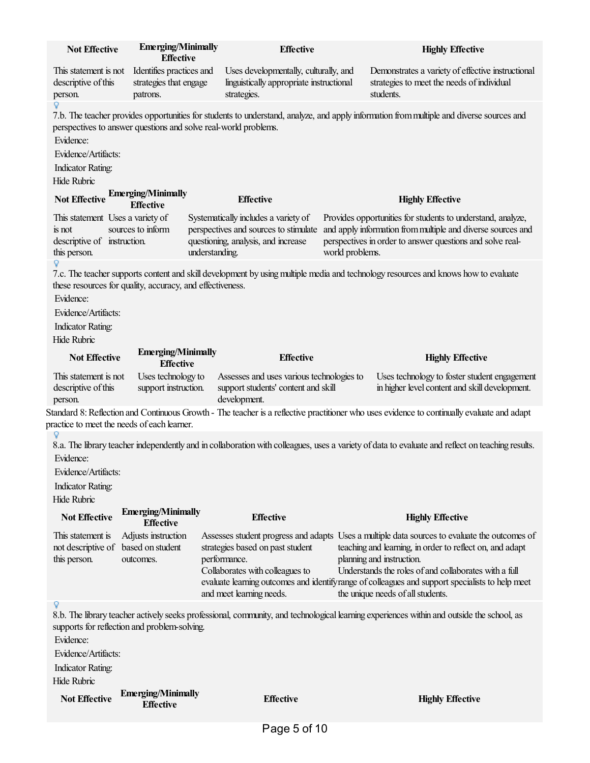| <b>Not Effective</b>                                                                      | <b>Emerging/Minimally</b><br><b>Effective</b>                           |                | <b>Effective</b>                                                                                                     |                 | <b>Highly Effective</b>                                                                                                                                                                                                                                                                                                                                                                 |
|-------------------------------------------------------------------------------------------|-------------------------------------------------------------------------|----------------|----------------------------------------------------------------------------------------------------------------------|-----------------|-----------------------------------------------------------------------------------------------------------------------------------------------------------------------------------------------------------------------------------------------------------------------------------------------------------------------------------------------------------------------------------------|
| This statement is not<br>descriptive of this<br>person.                                   | Identifies practices and<br>strategies that engage<br>patrons.          |                | Uses developmentally, culturally, and<br>linguistically appropriate instructional<br>strategies.                     |                 | Demonstrates a variety of effective instructional<br>strategies to meet the needs of individual<br>students.                                                                                                                                                                                                                                                                            |
| Evidence:<br>Evidence/Artifacts:<br><b>Indicator Rating:</b><br><b>Hide Rubric</b>        | perspectives to answer questions and solve real-world problems.         |                |                                                                                                                      |                 | 7.b. The teacher provides opportunities for students to understand, analyze, and apply information from multiple and diverse sources and                                                                                                                                                                                                                                                |
|                                                                                           | Not Effective Emerging/Minimally<br><b>Effective</b>                    |                | <b>Effective</b>                                                                                                     |                 | <b>Highly Effective</b>                                                                                                                                                                                                                                                                                                                                                                 |
| This statement Uses a variety of<br>is not<br>descriptive of instruction.<br>this person. | sources to inform                                                       | understanding. | Systematically includes a variety of<br>perspectives and sources to stimulate<br>questioning, analysis, and increase | world problems. | Provides opportunities for students to understand, analyze,<br>and apply information from multiple and diverse sources and<br>perspectives in order to answer questions and solve real-                                                                                                                                                                                                 |
| Q<br>Evidence:<br>Evidence/Artifacts:<br><b>Indicator Rating:</b><br>Hide Rubric          | these resources for quality, accuracy, and effectiveness.               |                |                                                                                                                      |                 | 7.c. The teacher supports content and skill development by using multiple media and technology resources and knows how to evaluate                                                                                                                                                                                                                                                      |
| <b>Not Effective</b>                                                                      | <b>Emerging/Minimally</b><br><b>Effective</b>                           |                | <b>Effective</b>                                                                                                     |                 | <b>Highly Effective</b>                                                                                                                                                                                                                                                                                                                                                                 |
| This statement is not<br>descriptive of this<br>person.                                   | Uses technology to<br>support instruction.                              |                | Assesses and uses various technologies to<br>support students' content and skill<br>development.                     |                 | Uses technology to foster student engagement<br>in higher level content and skill development.                                                                                                                                                                                                                                                                                          |
|                                                                                           | practice to meet the needs of each learner.                             |                |                                                                                                                      |                 | Standard 8: Reflection and Continuous Growth - The teacher is a reflective practitioner who uses evidence to continually evaluate and adapt                                                                                                                                                                                                                                             |
| Q<br>Evidence:<br>Evidence/Artifacts:<br><b>Indicator Rating:</b><br><b>Hide Rubric</b>   |                                                                         |                |                                                                                                                      |                 | 8.a. The library teacher independently and in collaboration with colleagues, uses a variety of data to evaluate and reflect on teaching results.                                                                                                                                                                                                                                        |
| <b>Not Effective</b>                                                                      | <b>Emerging/Minimally</b><br><b>Effective</b>                           |                | <b>Effective</b>                                                                                                     |                 | <b>Highly Effective</b>                                                                                                                                                                                                                                                                                                                                                                 |
| This statement is<br>this person.                                                         | Adjusts instruction<br>not descriptive of based on student<br>outcomes. |                | strategies based on past student<br>performance.<br>Collaborates with colleagues to<br>and meet learning needs.      |                 | Assesses student progress and adapts Uses a multiple data sources to evaluate the outcomes of<br>teaching and learning, in order to reflect on, and adapt<br>planning and instruction.<br>Understands the roles of and collaborates with a full<br>evaluate learning outcomes and identifyrange of colleagues and support specialists to help meet<br>the unique needs of all students. |
| Q<br>Evidence:<br>Evidence/Artifacts:<br><b>Indicator Rating:</b><br>Hide Rubric          | supports for reflection and problem-solving.                            |                |                                                                                                                      |                 | 8.b. The library teacher actively seeks professional, community, and technological learning experiences within and outside the school, as                                                                                                                                                                                                                                               |
| <b>Not Effective</b>                                                                      | <b>Emerging/Minimally</b><br><b>Effective</b>                           |                | <b>Effective</b>                                                                                                     |                 | <b>Highly Effective</b>                                                                                                                                                                                                                                                                                                                                                                 |
|                                                                                           |                                                                         |                | $P$ age 5 of 10                                                                                                      |                 |                                                                                                                                                                                                                                                                                                                                                                                         |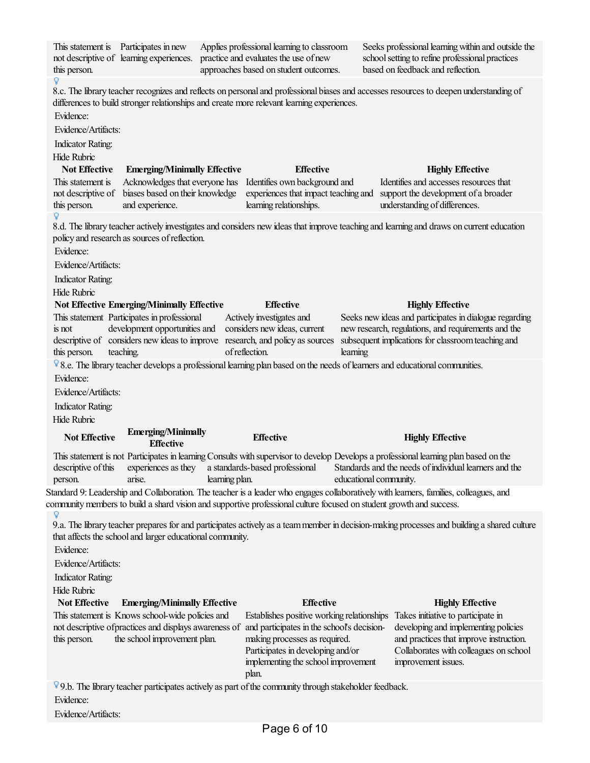This statement is Participates in new Applies professional learning to classroom Seeks professional learning within and outside the not descriptive of learning experiences. practiceand evaluates the use of new schoolsetting to refine professional practices approaches based on student outcomes. based on feedback and reflection. this person. 8.c. The library teacher recognizes and reflects on personal and professional biases and accesses resources to deepen understanding of differences to build stronger relationships and create more relevant learning experiences. Evidence: Evidence/Artifacts: Indicator Rating: Hide Rubric **Not Effective Emerging/Minimally Effective Effective Highly Effective** This statement is Acknowledges that everyone has Identifies own background and Identifies and accesses resources that not descriptive of biases based on their knowledge experiences that impact teaching and support the development of a broader this person. and experience. learning relationships. understanding of differences. 8.d. The library teacher actively investigates and considers new ideas that improve teaching and learning and draws on current education policy and research as sources ofreflection. Evidence: Evidence/Artifacts: Indicator Rating: Hide Rubric **Not Effective Emerging/Minimally Effective Effective Highly Effective** This statement Participates in professional Actively investigates and Seeks new ideas and participates in dialogue regarding is not development opportunities and considers new ideas, current new research, regulations, and requirements and the descriptive of considers new ideas to improve research, and policy as sources subsequent implications for classroom teaching and this person. teaching. ofreflection. learning 8.e. The library teacher develops a professional learning plan based on the needs of learners and educational communities. Evidence: Evidence/Artifacts: Indicator Rating: Hide Rubric **Emerging/Minimally Not Effective Effective Highly Effective Effective** This statement is not Participates in learning Consults with supervisor to develop Developsa professionallearning plan based on the Standards and the needs of individual learners and the descriptive of this experiences as they astandards-based professional educational community. person. arise. learning plan. Standard 9: Leadership and Collaboration. The teacher is a leader who engages collaboratively with learners, families, colleagues, and community members to build a shard vision and supportive professional culture focused on student growth and success. Q 9.a. The library teacher prepares for and participates actively as a team member in decision-making processes and building a shared culture that affects the school and larger educational community. Evidence: Evidence/Artifacts: Indicator Rating: Hide Rubric **Not Effective Emerging/Minimally Effective Effective Highly Effective** This statement is Knows school-wide policiesand Establishes positive working relationships Takes initiative to participate in not descriptive of practices and displays awareness of and participates in the school's decisiondeveloping and implementing policies this person. the school improvement plan. making processes as required. and practices that improve instruction. Participates in developing and/or Collaborates with colleagues on school implementing the school improvement improvement issues. plan.  $\sqrt[6]{9}$ . The library teacher participates actively as part of the community through stakeholder feedback. Evidence:

Evidence/Artifacts: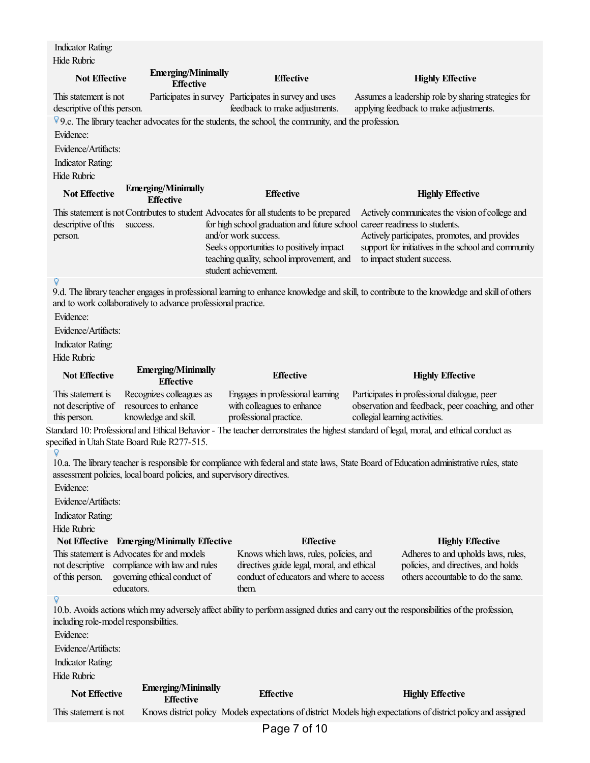Standard 10: Professional and Ethical Behavior - The teacher demonstrates the highest standard of legal, moral, and ethical conduct as specified in Utah State Board Rule R277-515. Indicator Rating: Hide Rubric **Not Effective Emerging/Minimally Effective Effective Highly Effective** This statement is not descriptive of this person. Participates in survey Participates in survey and uses feedback to make adjustments. Assumes a leadership role by sharing strategies for applying feedback to make adjustments.  $9c$ . The library teacher advocates for the students, the school, the community, and the profession. Evidence: Evidence/Artifacts: Indicator Rating: Hide Rubric **Not Effective Emerging/Minimally Effective Effective Highly Effective** This statement is not Contributes to student Advocates forallstudents to be prepared descriptive of this success. person. for high school graduation and future school and/or work success. Seeks opportunities to positively impact teaching quality, schoolimprovement,and student achievement. Actively communicates the vision of college and career readiness to students. Actively participates, promotes, and provides support for initiatives in the school and community to impact student success. 9.d. The library teacher engages in professional learning to enhance knowledge and skill, to contribute to the knowledge and skill of others and to work collaboratively to advance professional practice. Evidence: Evidence/Artifacts: Indicator Rating: Hide Rubric **Not Effective Emerging/Minimally Effective Effective Highly Effective** This statement is not descriptive of this person. Recognizes colleagues as resources to enhance knowledge and skill. Engages in professional learning with colleagues to enhance professional practice. Participates in professional dialogue, peer observation and feedback, peer coaching, and other collegial learning activities. 10.a. The library teacher is responsible for compliance with federal and state laws, State Board of Education administrative rules, state assessment policies, local board policies, and supervisory directives. Evidence: Evidence/Artifacts: Indicator Rating: Hide Rubric **Not Effective Emerging/Minimally Effective Effective Highly Effective** This statement is Advocates forand models not descriptive compliance with lawand rules of this person. governing ethical conduct of educators. Knows which laws, rules, policies, and directives guide legal, moral, and ethical conduct of educators and where to access them. Adheres to and upholds laws, rules, policies,and directives,and holds others accountable to do the same. 10.b. Avoidsactions whichmay adversely affectability to performassigned dutiesand carry out theresponsibilities ofthe profession, including role-model responsibilities. Evidence: Evidence/Artifacts: Indicator Rating: Hide Rubric **Not Effective Emerging/Minimally Effective Effective Highly Effective**

Page 7 of 10

This statement is not Knows district policy Models expectations of district Models high expectations of district policy and assigned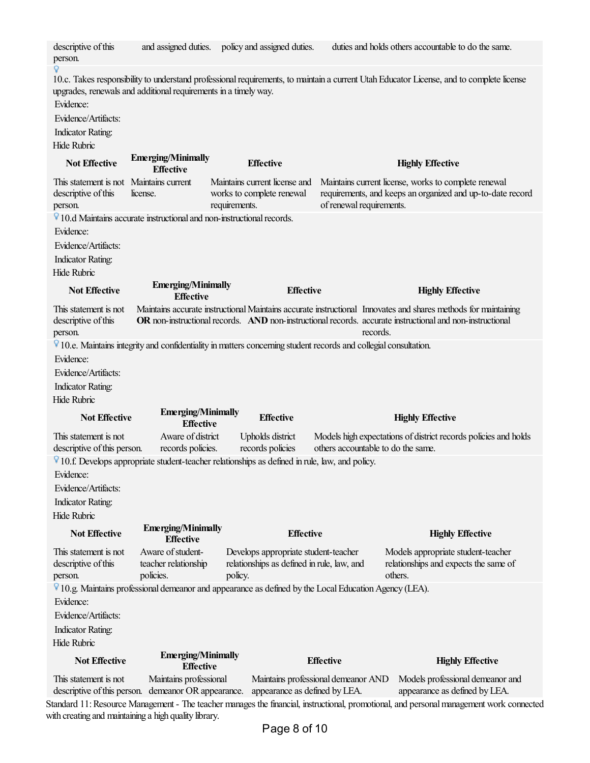| descriptive of this<br>person.                                                                                    |                                                                                                                          | and assigned duties. policy and assigned duties.                                   |                                                                      | duties and holds others accountable to do the same.                                                                                                                                                                                     |  |
|-------------------------------------------------------------------------------------------------------------------|--------------------------------------------------------------------------------------------------------------------------|------------------------------------------------------------------------------------|----------------------------------------------------------------------|-----------------------------------------------------------------------------------------------------------------------------------------------------------------------------------------------------------------------------------------|--|
| Evidence:                                                                                                         | upgrades, renewals and additional requirements in a timely way.                                                          |                                                                                    |                                                                      | 10.c. Takes responsibility to understand professional requirements, to maintain a current Utah Educator License, and to complete license                                                                                                |  |
| Evidence/Artifacts:                                                                                               |                                                                                                                          |                                                                                    |                                                                      |                                                                                                                                                                                                                                         |  |
| <b>Indicator Rating:</b>                                                                                          |                                                                                                                          |                                                                                    |                                                                      |                                                                                                                                                                                                                                         |  |
| <b>Hide Rubric</b>                                                                                                |                                                                                                                          |                                                                                    |                                                                      |                                                                                                                                                                                                                                         |  |
| <b>Not Effective</b>                                                                                              | <b>Emerging/Minimally</b><br><b>Effective</b>                                                                            | <b>Effective</b>                                                                   |                                                                      | <b>Highly Effective</b>                                                                                                                                                                                                                 |  |
| This statement is not Maintains current<br>descriptive of this<br>person.                                         | license.                                                                                                                 | Maintains current license and<br>works to complete renewal<br>requirements.        | of renewal requirements.                                             | Maintains current license, works to complete renewal<br>requirements, and keeps an organized and up-to-date record                                                                                                                      |  |
|                                                                                                                   | $\sqrt[6]{}$ 10.d Maintains accurate instructional and non-instructional records.                                        |                                                                                    |                                                                      |                                                                                                                                                                                                                                         |  |
| Evidence:                                                                                                         |                                                                                                                          |                                                                                    |                                                                      |                                                                                                                                                                                                                                         |  |
| Evidence/Artifacts:                                                                                               |                                                                                                                          |                                                                                    |                                                                      |                                                                                                                                                                                                                                         |  |
|                                                                                                                   |                                                                                                                          |                                                                                    |                                                                      |                                                                                                                                                                                                                                         |  |
| <b>Indicator Rating:</b>                                                                                          |                                                                                                                          |                                                                                    |                                                                      |                                                                                                                                                                                                                                         |  |
| <b>Hide Rubric</b>                                                                                                | <b>Emerging/Minimally</b>                                                                                                |                                                                                    |                                                                      |                                                                                                                                                                                                                                         |  |
| <b>Not Effective</b>                                                                                              | <b>Effective</b>                                                                                                         | <b>Effective</b>                                                                   |                                                                      | <b>Highly Effective</b>                                                                                                                                                                                                                 |  |
| This statement is not<br>descriptive of this<br>person.                                                           |                                                                                                                          |                                                                                    |                                                                      | Maintains accurate instructional Maintains accurate instructional Innovates and shares methods for maintaining<br>OR non-instructional records. AND non-instructional records. accurate instructional and non-instructional<br>records. |  |
|                                                                                                                   | $\nabla$ 10.e. Maintains integrity and confidentiality in matters concerning student records and collegial consultation. |                                                                                    |                                                                      |                                                                                                                                                                                                                                         |  |
| Evidence:                                                                                                         |                                                                                                                          |                                                                                    |                                                                      |                                                                                                                                                                                                                                         |  |
| Evidence/Artifacts:                                                                                               |                                                                                                                          |                                                                                    |                                                                      |                                                                                                                                                                                                                                         |  |
| <b>Indicator Rating:</b>                                                                                          |                                                                                                                          |                                                                                    |                                                                      |                                                                                                                                                                                                                                         |  |
| <b>Hide Rubric</b>                                                                                                |                                                                                                                          |                                                                                    |                                                                      |                                                                                                                                                                                                                                         |  |
| <b>Not Effective</b>                                                                                              | <b>Emerging/Minimally</b><br><b>Effective</b>                                                                            | <b>Effective</b>                                                                   |                                                                      | <b>Highly Effective</b>                                                                                                                                                                                                                 |  |
| This statement is not                                                                                             | Aware of district                                                                                                        | Upholds district                                                                   |                                                                      | Models high expectations of district records policies and holds                                                                                                                                                                         |  |
| descriptive of this person.                                                                                       | records policies.                                                                                                        | records policies                                                                   | others accountable to do the same.                                   |                                                                                                                                                                                                                                         |  |
|                                                                                                                   | $\sqrt[6]{}$ 10.f. Develops appropriate student-teacher relationships as defined in rule, law, and policy.               |                                                                                    |                                                                      |                                                                                                                                                                                                                                         |  |
| Evidence:                                                                                                         |                                                                                                                          |                                                                                    |                                                                      |                                                                                                                                                                                                                                         |  |
| Evidence/Artifacts:                                                                                               |                                                                                                                          |                                                                                    |                                                                      |                                                                                                                                                                                                                                         |  |
| <b>Indicator Rating:</b>                                                                                          |                                                                                                                          |                                                                                    |                                                                      |                                                                                                                                                                                                                                         |  |
| Hide Rubric                                                                                                       |                                                                                                                          |                                                                                    |                                                                      |                                                                                                                                                                                                                                         |  |
| <b>Not Effective</b>                                                                                              | <b>Emerging/Minimally</b><br><b>Effective</b>                                                                            | <b>Effective</b>                                                                   |                                                                      | <b>Highly Effective</b>                                                                                                                                                                                                                 |  |
| This statement is not<br>descriptive of this                                                                      | Aware of student-<br>teacher relationship                                                                                | Develops appropriate student-teacher<br>relationships as defined in rule, law, and |                                                                      | Models appropriate student-teacher<br>relationships and expects the same of                                                                                                                                                             |  |
| person.                                                                                                           | policies.                                                                                                                | policy.                                                                            |                                                                      | others.                                                                                                                                                                                                                                 |  |
| <sup>1</sup> 10.g. Maintains professional demeanor and appearance as defined by the Local Education Agency (LEA). |                                                                                                                          |                                                                                    |                                                                      |                                                                                                                                                                                                                                         |  |
| Evidence:                                                                                                         |                                                                                                                          |                                                                                    |                                                                      |                                                                                                                                                                                                                                         |  |
| Evidence/Artifacts:                                                                                               |                                                                                                                          |                                                                                    |                                                                      |                                                                                                                                                                                                                                         |  |
| <b>Indicator Rating:</b>                                                                                          |                                                                                                                          |                                                                                    |                                                                      |                                                                                                                                                                                                                                         |  |
| Hide Rubric                                                                                                       |                                                                                                                          |                                                                                    |                                                                      |                                                                                                                                                                                                                                         |  |
| <b>Not Effective</b>                                                                                              | <b>Emerging/Minimally</b><br><b>Effective</b>                                                                            |                                                                                    | <b>Effective</b>                                                     | <b>Highly Effective</b>                                                                                                                                                                                                                 |  |
| This statement is not                                                                                             | Maintains professional<br>descriptive of this person. demeanor OR appearance.                                            |                                                                                    | Maintains professional demeanor AND<br>appearance as defined by LEA. | Models professional demeanor and<br>appearance as defined by LEA.                                                                                                                                                                       |  |
|                                                                                                                   |                                                                                                                          |                                                                                    |                                                                      | Standard 11: Resource Management - The teacher manages the financial, instructional, promotional, and personal management work connected                                                                                                |  |

with creating and maintaining a high quality library.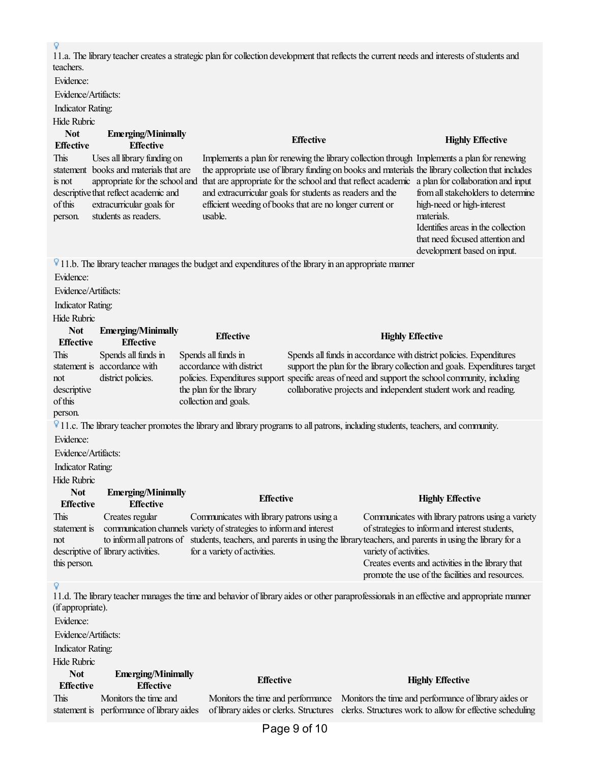11.a. The library teacher creates a strategic plan for collection development that reflects the current needs and interests of students and teachers. Evidence: Evidence/Artifacts: Indicator Rating: Hide Rubric **Not Effective Emerging/Minimally Effective Effective Highly Effective** This statement books and materials that are is not descriptive that reflect academic and ofthis person. Uses all library funding on appropriate for the school and extracurricular goals for students as readers. Implements a plan for renewing the library collection through Implements a plan for renewing the appropriate use of library funding on books and materials the library collection that includes that are appropriate for the school and that reflect academic a plan for collaboration and input and extracurricular goals for students as readers and the efficient weeding of books that are no longer current or usable. from all stakeholders to determine high-need or high-interest materials. Identifies areas in the collection that need focused attention and development based on input.  $\nabla$  11.b. The library teacher manages the budget and expenditures of the library in an appropriate manner Evidence: Evidence/Artifacts: Indicator Rating: Hide Rubric **Not Effective Emerging/Minimally Effective Effective Highly Effective** This statement is accordance with not descriptive ofthis person. Spends all funds in district policies. Spends all funds in accordance with district policies. Expenditures support the plan for the library collection and goals. Spends all funds in accordance with district policies. Expenditures support the plan for the library collection and goals. Expenditures target specific areas of need and support the school community, including collaborative projects and independent student work and reading. 11.c. Thelibrary teacher promotes thelibrary and library programs to all patrons, including students, teachers,and community. Evidence: Evidence/Artifacts: Indicator Rating: Hide Rubric **Not Effective Emerging/Minimally Effective Effective Highly Effective** This statement is not descriptive of library activities. this person. Creates regular communication channels variety of strategies to inform and interest to inform all patrons of students, teachers, and parents in using the library teachers, and parents in using the library for a Communicates with library patrons using a for a variety of activities. Communicates with library patrons using a variety of strategies to inform and interest students, variety of activities. Creates events and activities in the library that promote the use of the facilities and resources. 11.d. Thelibrary teacher manages thetimeand behavior oflibrary aides or other paraprofessionals in an effectiveand appropriate manner (ifappropriate). Evidence: Evidence/Artifacts: Indicator Rating: Hide Rubric **Not Effective Emerging/Minimally Effective Effective Highly Effective** This statement is performance of library aides Monitors the time and Monitors the time and performance Monitors the time and performance of library aides or of library aides or clerks. Structures clerks. Structures work to allow for effective scheduling